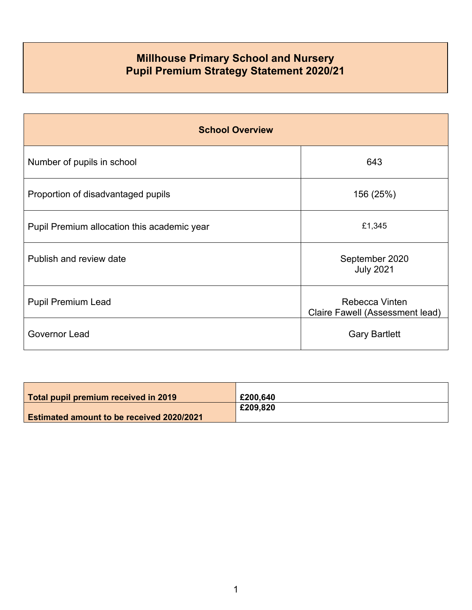## **Millhouse Primary School and Nursery Pupil Premium Strategy Statement 2020/21**

| <b>School Overview</b>                      |                                                   |  |  |
|---------------------------------------------|---------------------------------------------------|--|--|
| Number of pupils in school                  | 643                                               |  |  |
| Proportion of disadvantaged pupils          | 156 (25%)                                         |  |  |
| Pupil Premium allocation this academic year | £1,345                                            |  |  |
| Publish and review date                     | September 2020<br><b>July 2021</b>                |  |  |
| <b>Pupil Premium Lead</b>                   | Rebecca Vinten<br>Claire Fawell (Assessment lead) |  |  |
| Governor Lead                               | <b>Gary Bartlett</b>                              |  |  |

| Total pupil premium received in 2019             | £200,640 |
|--------------------------------------------------|----------|
|                                                  |          |
|                                                  | £209,820 |
| <b>Estimated amount to be received 2020/2021</b> |          |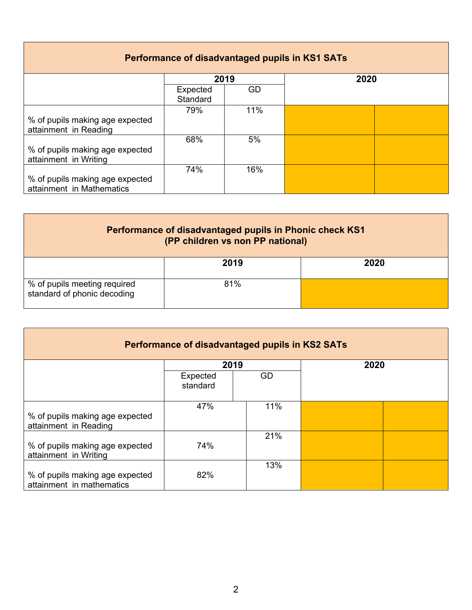| Performance of disadvantaged pupils in KS1 SATs |          |      |      |  |  |
|-------------------------------------------------|----------|------|------|--|--|
|                                                 |          | 2019 | 2020 |  |  |
|                                                 | Expected | GD   |      |  |  |
|                                                 | Standard |      |      |  |  |
|                                                 | 79%      | 11%  |      |  |  |
| % of pupils making age expected                 |          |      |      |  |  |
| attainment in Reading                           |          |      |      |  |  |
|                                                 | 68%      | 5%   |      |  |  |
| % of pupils making age expected                 |          |      |      |  |  |
| attainment in Writing                           |          |      |      |  |  |
|                                                 | 74%      | 16%  |      |  |  |
| % of pupils making age expected                 |          |      |      |  |  |
| attainment in Mathematics                       |          |      |      |  |  |

| Performance of disadvantaged pupils in Phonic check KS1<br>(PP children vs non PP national) |      |      |  |
|---------------------------------------------------------------------------------------------|------|------|--|
|                                                                                             | 2019 | 2020 |  |
| % of pupils meeting required<br>standard of phonic decoding                                 | 81%  |      |  |

| Performance of disadvantaged pupils in KS2 SATs              |                      |     |      |  |
|--------------------------------------------------------------|----------------------|-----|------|--|
|                                                              | 2019                 |     | 2020 |  |
|                                                              | Expected<br>standard | GD  |      |  |
| % of pupils making age expected<br>attainment in Reading     | 47%                  | 11% |      |  |
| % of pupils making age expected<br>attainment in Writing     | 74%                  | 21% |      |  |
| % of pupils making age expected<br>attainment in mathematics | 82%                  | 13% |      |  |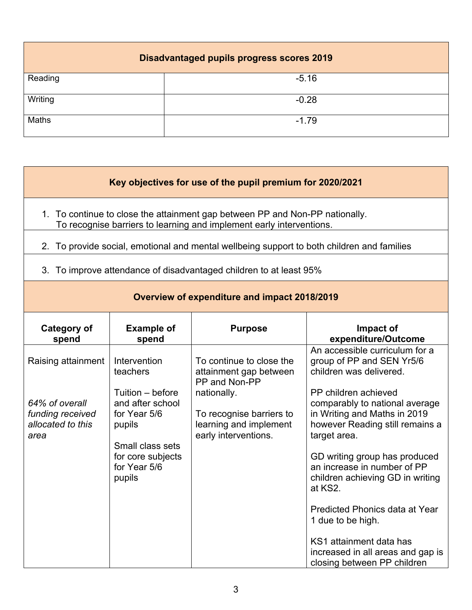| <b>Disadvantaged pupils progress scores 2019</b> |         |  |  |
|--------------------------------------------------|---------|--|--|
| Reading                                          | $-5.16$ |  |  |
| Writing                                          | $-0.28$ |  |  |
| Maths                                            | $-1.79$ |  |  |

| Key objectives for use of the pupil premium for 2020/2021 |                                                                  |                                                                                                                                                      |                                                                                                                                                  |
|-----------------------------------------------------------|------------------------------------------------------------------|------------------------------------------------------------------------------------------------------------------------------------------------------|--------------------------------------------------------------------------------------------------------------------------------------------------|
|                                                           |                                                                  | 1. To continue to close the attainment gap between PP and Non-PP nationally.<br>To recognise barriers to learning and implement early interventions. |                                                                                                                                                  |
|                                                           |                                                                  | 2. To provide social, emotional and mental wellbeing support to both children and families                                                           |                                                                                                                                                  |
|                                                           |                                                                  | 3. To improve attendance of disadvantaged children to at least 95%                                                                                   |                                                                                                                                                  |
|                                                           |                                                                  | Overview of expenditure and impact 2018/2019                                                                                                         |                                                                                                                                                  |
| <b>Category of</b><br>spend                               | <b>Example of</b><br>spend                                       | <b>Purpose</b>                                                                                                                                       | Impact of<br>expenditure/Outcome                                                                                                                 |
| Raising attainment<br>64% of overall                      | Intervention<br>teachers<br>Tuition - before<br>and after school | To continue to close the<br>attainment gap between<br>PP and Non-PP<br>nationally.                                                                   | An accessible curriculum for a<br>group of PP and SEN Yr5/6<br>children was delivered.<br>PP children achieved<br>comparably to national average |
| funding received<br>allocated to this<br>area             | for Year 5/6<br>pupils<br>Small class sets                       | To recognise barriers to<br>learning and implement<br>early interventions.                                                                           | in Writing and Maths in 2019<br>however Reading still remains a<br>target area.                                                                  |
|                                                           | for core subjects<br>for Year 5/6<br>pupils                      |                                                                                                                                                      | GD writing group has produced<br>an increase in number of PP<br>children achieving GD in writing<br>at KS2.                                      |
|                                                           |                                                                  |                                                                                                                                                      | <b>Predicted Phonics data at Year</b><br>1 due to be high.                                                                                       |
|                                                           |                                                                  |                                                                                                                                                      | KS1 attainment data has<br>increased in all areas and gap is                                                                                     |

closing between PP children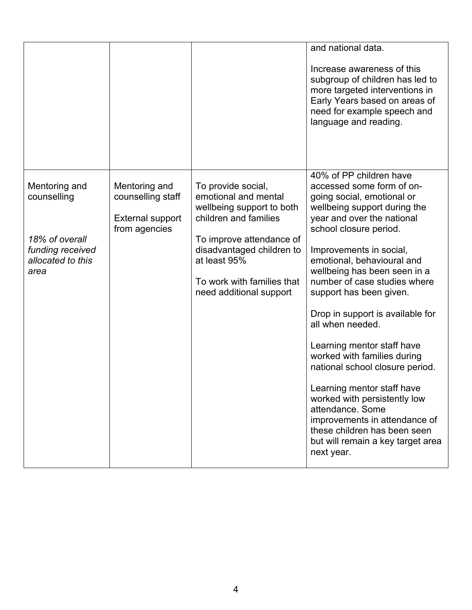|                                                                                                 |                                                                                |                                                                                                                                                                                                                                    | and national data.<br>Increase awareness of this<br>subgroup of children has led to<br>more targeted interventions in<br>Early Years based on areas of<br>need for example speech and<br>language and reading.                                                                                                                                                                                                                                                                                                                                                                                                                                                                               |
|-------------------------------------------------------------------------------------------------|--------------------------------------------------------------------------------|------------------------------------------------------------------------------------------------------------------------------------------------------------------------------------------------------------------------------------|----------------------------------------------------------------------------------------------------------------------------------------------------------------------------------------------------------------------------------------------------------------------------------------------------------------------------------------------------------------------------------------------------------------------------------------------------------------------------------------------------------------------------------------------------------------------------------------------------------------------------------------------------------------------------------------------|
| Mentoring and<br>counselling<br>18% of overall<br>funding received<br>allocated to this<br>area | Mentoring and<br>counselling staff<br><b>External support</b><br>from agencies | To provide social,<br>emotional and mental<br>wellbeing support to both<br>children and families<br>To improve attendance of<br>disadvantaged children to<br>at least 95%<br>To work with families that<br>need additional support | 40% of PP children have<br>accessed some form of on-<br>going social, emotional or<br>wellbeing support during the<br>year and over the national<br>school closure period.<br>Improvements in social,<br>emotional, behavioural and<br>wellbeing has been seen in a<br>number of case studies where<br>support has been given.<br>Drop in support is available for<br>all when needed.<br>Learning mentor staff have<br>worked with families during<br>national school closure period.<br>Learning mentor staff have<br>worked with persistently low<br>attendance. Some<br>improvements in attendance of<br>these children has been seen<br>but will remain a key target area<br>next year. |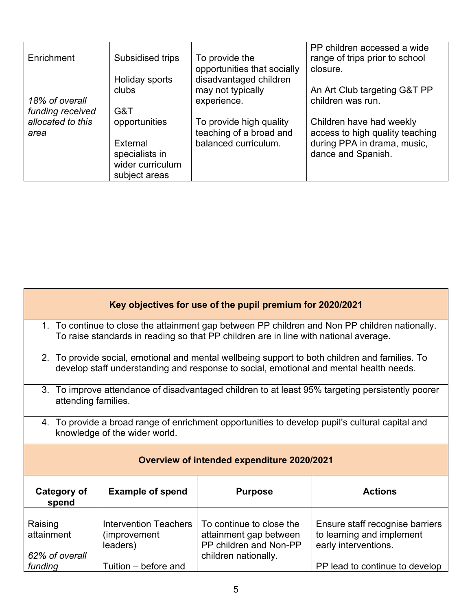| Enrichment                                    | Subsidised trips                                   | To provide the<br>opportunities that socially                              | PP children accessed a wide<br>range of trips prior to school<br>closure.                                        |
|-----------------------------------------------|----------------------------------------------------|----------------------------------------------------------------------------|------------------------------------------------------------------------------------------------------------------|
| 18% of overall                                | Holiday sports<br>clubs                            | disadvantaged children<br>may not typically<br>experience.                 | An Art Club targeting G&T PP<br>children was run.                                                                |
| funding received<br>allocated to this<br>area | G&T<br>opportunities<br>External<br>specialists in | To provide high quality<br>teaching of a broad and<br>balanced curriculum. | Children have had weekly<br>access to high quality teaching<br>during PPA in drama, music,<br>dance and Spanish. |
|                                               | wider curriculum<br>subject areas                  |                                                                            |                                                                                                                  |

| Key objectives for use of the pupil premium for 2020/2021 |                                                                                                                                                                                        |                                                                                                      |                                                                                                |  |  |
|-----------------------------------------------------------|----------------------------------------------------------------------------------------------------------------------------------------------------------------------------------------|------------------------------------------------------------------------------------------------------|------------------------------------------------------------------------------------------------|--|--|
|                                                           | 1. To continue to close the attainment gap between PP children and Non PP children nationally.<br>To raise standards in reading so that PP children are in line with national average. |                                                                                                      |                                                                                                |  |  |
|                                                           |                                                                                                                                                                                        | develop staff understanding and response to social, emotional and mental health needs.               | 2. To provide social, emotional and mental wellbeing support to both children and families. To |  |  |
|                                                           | 3. To improve attendance of disadvantaged children to at least 95% targeting persistently poorer<br>attending families.                                                                |                                                                                                      |                                                                                                |  |  |
|                                                           | 4. To provide a broad range of enrichment opportunities to develop pupil's cultural capital and<br>knowledge of the wider world.                                                       |                                                                                                      |                                                                                                |  |  |
|                                                           | <b>Overview of intended expenditure 2020/2021</b>                                                                                                                                      |                                                                                                      |                                                                                                |  |  |
| <b>Category of</b><br>spend                               | <b>Example of spend</b><br><b>Actions</b><br><b>Purpose</b>                                                                                                                            |                                                                                                      |                                                                                                |  |  |
| Raising<br>attainment<br>62% of overall                   | <b>Intervention Teachers</b><br>(improvement<br>leaders)                                                                                                                               | To continue to close the<br>attainment gap between<br>PP children and Non-PP<br>children nationally. | Ensure staff recognise barriers<br>to learning and implement<br>early interventions.           |  |  |
| funding                                                   | Tuition - before and                                                                                                                                                                   |                                                                                                      | PP lead to continue to develop                                                                 |  |  |

Γ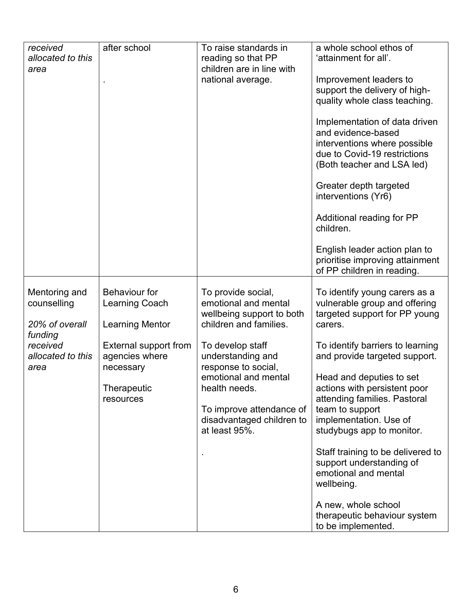| received<br>allocated to this                  | after school                                                            | To raise standards in<br>reading so that PP                                                       | a whole school ethos of<br>'attainment for all'.                                                                                                  |
|------------------------------------------------|-------------------------------------------------------------------------|---------------------------------------------------------------------------------------------------|---------------------------------------------------------------------------------------------------------------------------------------------------|
| area                                           |                                                                         | children are in line with<br>national average.                                                    | Improvement leaders to<br>support the delivery of high-<br>quality whole class teaching.                                                          |
|                                                |                                                                         |                                                                                                   | Implementation of data driven<br>and evidence-based<br>interventions where possible<br>due to Covid-19 restrictions<br>(Both teacher and LSA led) |
|                                                |                                                                         |                                                                                                   | Greater depth targeted<br>interventions (Yr6)                                                                                                     |
|                                                |                                                                         |                                                                                                   | Additional reading for PP<br>children.                                                                                                            |
|                                                |                                                                         |                                                                                                   | English leader action plan to<br>prioritise improving attainment<br>of PP children in reading.                                                    |
| Mentoring and<br>counselling<br>20% of overall | <b>Behaviour for</b><br><b>Learning Coach</b><br><b>Learning Mentor</b> | To provide social,<br>emotional and mental<br>wellbeing support to both<br>children and families. | To identify young carers as a<br>vulnerable group and offering<br>targeted support for PP young<br>carers.                                        |
| funding<br>received<br>allocated to this       | External support from<br>agencies where                                 | To develop staff<br>understanding and                                                             | To identify barriers to learning<br>and provide targeted support.                                                                                 |
| area                                           | necessary<br>Therapeutic<br>resources                                   | response to social,<br>emotional and mental<br>health needs.                                      | Head and deputies to set<br>actions with persistent poor<br>attending families. Pastoral                                                          |
|                                                |                                                                         | To improve attendance of<br>disadvantaged children to<br>at least 95%.                            | team to support<br>implementation. Use of<br>studybugs app to monitor.                                                                            |
|                                                |                                                                         |                                                                                                   | Staff training to be delivered to<br>support understanding of<br>emotional and mental<br>wellbeing.                                               |
|                                                |                                                                         |                                                                                                   | A new, whole school<br>therapeutic behaviour system<br>to be implemented.                                                                         |